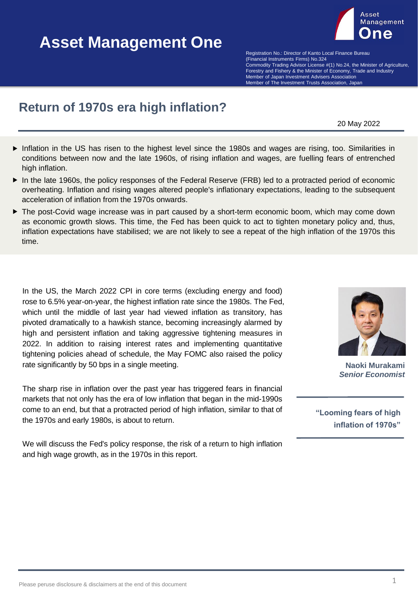# **Asset Management One Asset Management One**



(Financial Instruments Firms) No.324 **Example Bureau Advisor Community** Control Finance Bureau Community Commodity Trading Advisor License #(1) No.24, the Minister of Agriculture, Forestry and Fishery & the Minister of Economy, Trade and Industry Member of The Investment Trusts Association, Japan Member of The Investment Trusts Association, Japan Registration No.: Director of Kanto Local Finance Bureau Member of Japan Investment Advisers Association

## **Return of 1970s era high inflation?**

20 May 2022

- Inflation in the US has risen to the highest level since the 1980s and wages are rising, too. Similarities in conditions between now and the late 1960s, of rising inflation and wages, are fuelling fears of entrenched high inflation.
- In the late 1960s, the policy responses of the Federal Reserve (FRB) led to a protracted period of economic overheating. Inflation and rising wages altered people's inflationary expectations, leading to the subsequent acceleration of inflation from the 1970s onwards.
- ▶ The post-Covid wage increase was in part caused by a short-term economic boom, which may come down as economic growth slows. This time, the Fed has been quick to act to tighten monetary policy and, thus, inflation expectations have stabilised; we are not likely to see a repeat of the high inflation of the 1970s this time.

In the US, the March 2022 CPI in core terms (excluding energy and food) rose to 6.5% year-on-year, the highest inflation rate since the 1980s. The Fed, which until the middle of last year had viewed inflation as transitory, has pivoted dramatically to a hawkish stance, becoming increasingly alarmed by high and persistent inflation and taking aggressive tightening measures in 2022. In addition to raising interest rates and implementing quantitative tightening policies ahead of schedule, the May FOMC also raised the policy rate significantly by 50 bps in a single meeting.

The sharp rise in inflation over the past year has triggered fears in financial markets that not only has the era of low inflation that began in the mid-1990s come to an end, but that a protracted period of high inflation, similar to that of the 1970s and early 1980s, is about to return.

We will discuss the Fed's policy response, the risk of a return to high inflation and high wage growth, as in the 1970s in this report.



**Naoki Murakami** *Senior Economist*

**"Looming fears of high inflation of 1970s"**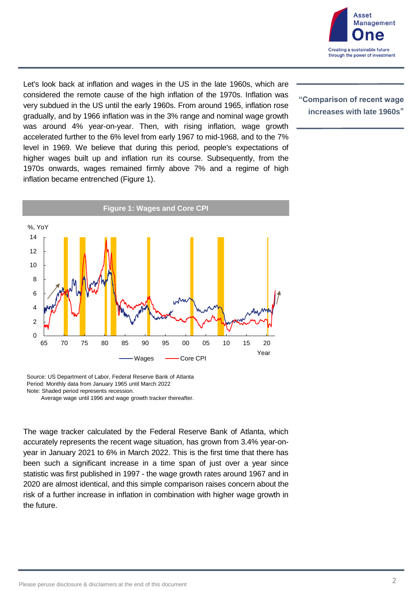

Let's look back at inflation and wages in the US in the late 1960s, which are considered the remote cause of the high inflation of the 1970s. Inflation was very subdued in the US until the early 1960s. From around 1965, inflation rose gradually, and by 1966 inflation was in the 3% range and nominal wage growth was around 4% year-on-year. Then, with rising inflation, wage growth accelerated further to the 6% level from early 1967 to mid-1968, and to the 7% level in 1969. We believe that during this period, people's expectations of higher wages built up and inflation run its course. Subsequently, from the 1970s onwards, wages remained firmly above 7% and a regime of high inflation became entrenched (Figure 1).



Source: US Department of Labor, Federal Reserve Bank of Atlanta Period: Monthly data from January 1965 until March 2022 Note: Shaded period represents recession.

Average wage until 1996 and wage growth tracker thereafter.

The wage tracker calculated by the Federal Reserve Bank of Atlanta, which accurately represents the recent wage situation, has grown from 3.4% year-onyear in January 2021 to 6% in March 2022. This is the first time that there has been such a significant increase in a time span of just over a year since statistic was first published in 1997 - the wage growth rates around 1967 and in 2020 are almost identical, and this simple comparison raises concern about the risk of a further increase in inflation in combination with higher wage growth in the future.

#### **"Comparison of recent wage increases with late 1960s"**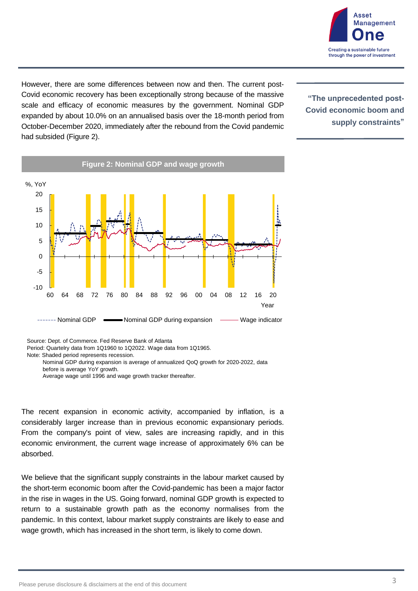

However, there are some differences between now and then. The current post-Covid economic recovery has been exceptionally strong because of the massive scale and efficacy of economic measures by the government. Nominal GDP expanded by about 10.0% on an annualised basis over the 18-month period from October-December 2020, immediately after the rebound from the Covid pandemic had subsided (Figure 2).

**"The unprecedented post-Covid economic boom and supply constraints"**



Source: Dept. of Commerce. Fed Reserve Bank of Atlanta

Period: Quartelry data from 1Q1960 to 1Q2022. Wage data from 1Q1965.

Note: Shaded period represents recession.

The recent expansion in economic activity, accompanied by inflation, is a considerably larger increase than in previous economic expansionary periods. From the company's point of view, sales are increasing rapidly, and in this economic environment, the current wage increase of approximately 6% can be absorbed.

We believe that the significant supply constraints in the labour market caused by the short-term economic boom after the Covid-pandemic has been a major factor in the rise in wages in the US. Going forward, nominal GDP growth is expected to return to a sustainable growth path as the economy normalises from the pandemic. In this context, labour market supply constraints are likely to ease and wage growth, which has increased in the short term, is likely to come down.

Nominal GDP during expansion is average of annualized QoQ growth for 2020-2022, data before is average YoY growth.

Average wage until 1996 and wage growth tracker thereafter.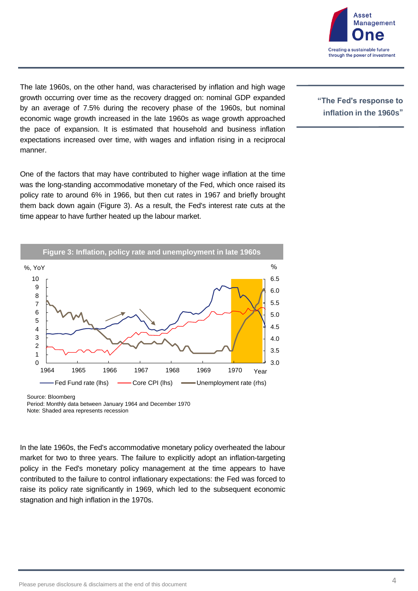

The late 1960s, on the other hand, was characterised by inflation and high wage growth occurring over time as the recovery dragged on: nominal GDP expanded by an average of 7.5% during the recovery phase of the 1960s, but nominal economic wage growth increased in the late 1960s as wage growth approached the pace of expansion. It is estimated that household and business inflation expectations increased over time, with wages and inflation rising in a reciprocal manner.

One of the factors that may have contributed to higher wage inflation at the time was the long-standing accommodative monetary of the Fed, which once raised its policy rate to around 6% in 1966, but then cut rates in 1967 and briefly brought them back down again (Figure 3). As a result, the Fed's interest rate cuts at the time appear to have further heated up the labour market.

**Figure 3: Inflation, policy rate and unemployment in late 1960s**



Source: Bloomberg

Period: Monthly data between January 1964 and December 1970 Note: Shaded area represents recession

In the late 1960s, the Fed's accommodative monetary policy overheated the labour market for two to three years. The failure to explicitly adopt an inflation-targeting policy in the Fed's monetary policy management at the time appears to have contributed to the failure to control inflationary expectations: the Fed was forced to raise its policy rate significantly in 1969, which led to the subsequent economic stagnation and high inflation in the 1970s.

#### **"The Fed's response to inflation in the 1960s"**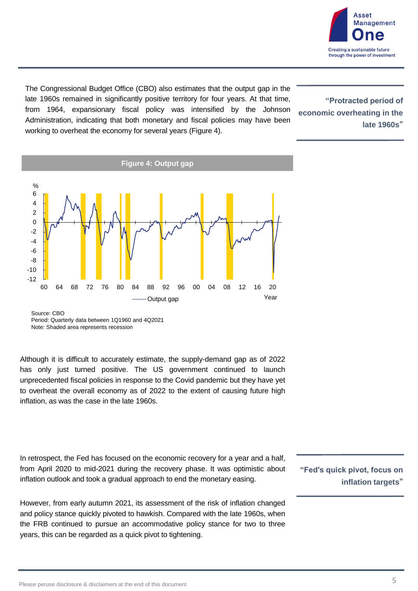

The Congressional Budget Office (CBO) also estimates that the output gap in the late 1960s remained in significantly positive territory for four years. At that time, from 1964, expansionary fiscal policy was intensified by the Johnson Administration, indicating that both monetary and fiscal policies may have been working to overheat the economy for several years (Figure 4).

**"Protracted period of economic overheating in the late 1960s"**



Source: CBO Period: Quarterly data between 1Q1960 and 4Q2021 Note: Shaded area represents recession

Although it is difficult to accurately estimate, the supply-demand gap as of 2022 has only just turned positive. The US government continued to launch unprecedented fiscal policies in response to the Covid pandemic but they have yet to overheat the overall economy as of 2022 to the extent of causing future high inflation, as was the case in the late 1960s.

In retrospect, the Fed has focused on the economic recovery for a year and a half, from April 2020 to mid-2021 during the recovery phase. It was optimistic about inflation outlook and took a gradual approach to end the monetary easing.

However, from early autumn 2021, its assessment of the risk of inflation changed and policy stance quickly pivoted to hawkish. Compared with the late 1960s, when the FRB continued to pursue an accommodative policy stance for two to three years, this can be regarded as a quick pivot to tightening.

**"Fed's quick pivot, focus on inflation targets"**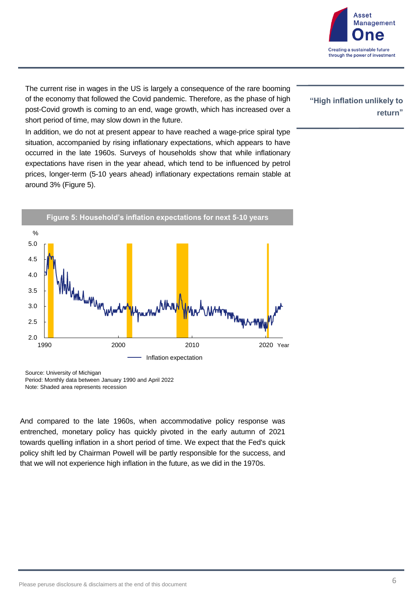

The current rise in wages in the US is largely a consequence of the rare booming of the economy that followed the Covid pandemic. Therefore, as the phase of high post-Covid growth is coming to an end, wage growth, which has increased over a short period of time, may slow down in the future.

In addition, we do not at present appear to have reached a wage-price spiral type situation, accompanied by rising inflationary expectations, which appears to have occurred in the late 1960s. Surveys of households show that while inflationary expectations have risen in the year ahead, which tend to be influenced by petrol prices, longer-term (5-10 years ahead) inflationary expectations remain stable at around 3% (Figure 5).



Source: University of Michigan Period: Monthly data between January 1990 and April 2022 Note: Shaded area represents recession

And compared to the late 1960s, when accommodative policy response was entrenched, monetary policy has quickly pivoted in the early autumn of 2021 towards quelling inflation in a short period of time. We expect that the Fed's quick policy shift led by Chairman Powell will be partly responsible for the success, and that we will not experience high inflation in the future, as we did in the 1970s.

#### **"High inflation unlikely to return"**